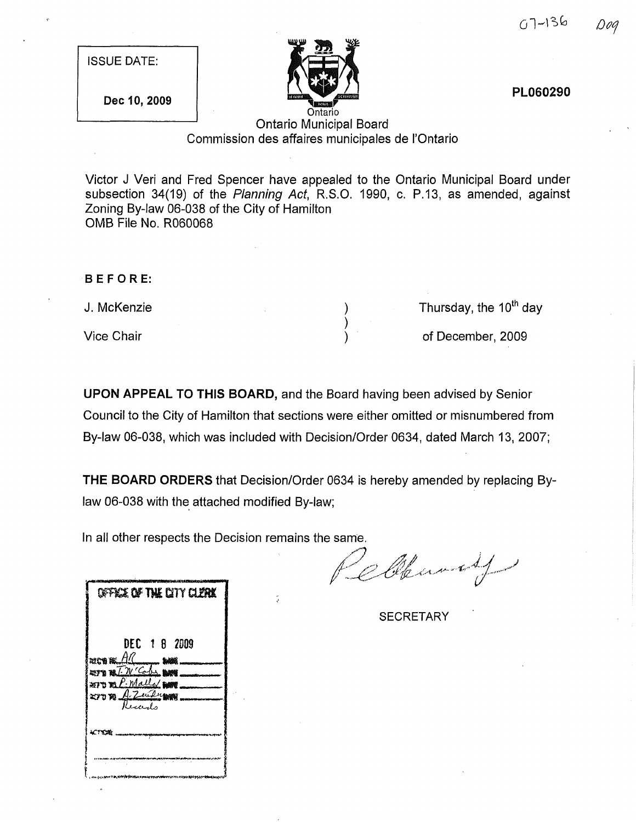| <b>ISSUE DATE:</b> |  |  |
|--------------------|--|--|
|                    |  |  |





PL060290

## Ontario Municipal Board Commission des affaires municipales de I'Ontario

Victor J Veri and Fred Spencer have appealed to the Ontario Municipal Board under subsection 34(19) of the Planning Act, R.S.O. 1990, c. P.13, as amended, against Zoning By-law 06-038 of the City of Hamilton OMB File No. R060068

> ) ) )

### BEFORE:

J. McKenzie

Vice Chair

Thursday, the 10<sup>th</sup> day

of December, 2009

UPON APPEAL TO THIS BOARD, and the Board having been advised by Senior Council to the City of Hamilton that sections were either omitted or misnumbered from By-law 06-038, which was included with Decision/Order 0634, dated March 13, 2007;

THE BOARD ORDERS that Decision/Order 0634 is hereby amended by replacing Bylaw 06-038 with the attached modified By-law;

In all other respects the Decision remains the same.

Cleaning

**SECRETARY** 

| OFFICE OF THE CITY CLERK                                           |
|--------------------------------------------------------------------|
| DEC 18 2009<br>RIC'S PLAC                                          |
| rich Re. <i>All</i><br>Europa T. W. <sup>c</sup> odes <b>ban</b> d |
|                                                                    |
| 270 mP. Malley MA                                                  |
| $270$ m $A$ Zeilen                                                 |
|                                                                    |
|                                                                    |
|                                                                    |
|                                                                    |
|                                                                    |
|                                                                    |
|                                                                    |
|                                                                    |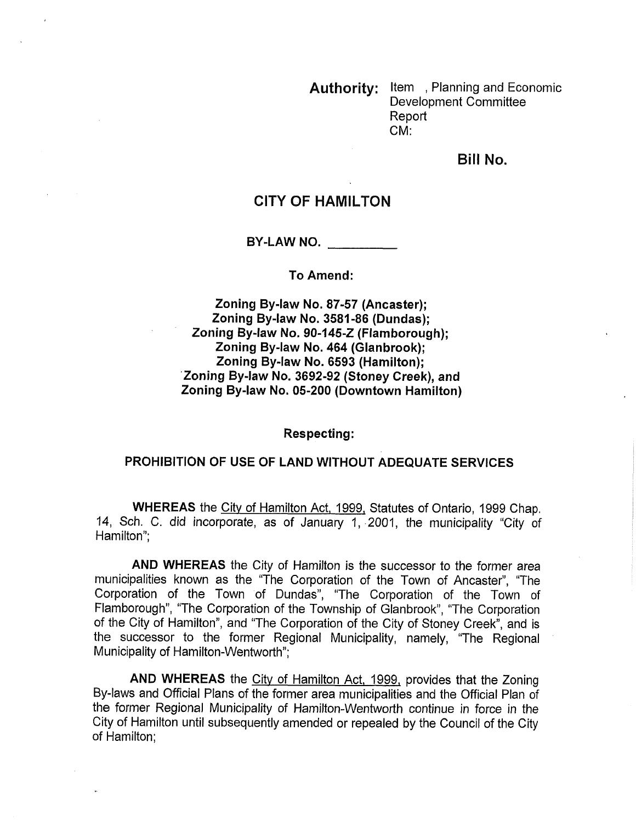Authority: Item, Planning and Economic Development Committee Report CM:

Bill No.

# CITY OF HAMILTON

BY-LAW NO.

#### To Amend:

Zoning By-law No. 87-57 (Ancaster); Zoning By-law No. 3581-86 (Dundas); Zoning By-law No. 90-145-Z (Flamborough); Zoning By-law No. 464 (Glanbrook); Zoning By-law No. 6593 (Hamilton); Zoning By-law No. 3692-92 (Stoney Creek), and Zoning By-law No. 05-200 (Downtown Hamilton)

Respecting:

### PROHIBITION OF USE OF LAND WITHOUT ADEQUATE SERVICES

WHEREAS the City of Hamilton Act, 1999, Statutes of Ontario, 1999 Chap. 14, Sch. C. did incorporate, as of January 1, 2001, the municipality "City of Hamilton";

AND WHEREAS the City of Hamilton is the successor to the former area municipalities known as the "The Corporation of the Town of Ancaster", "The Corporation of the Town of Dundas", "The Corporation of the Town of Flamborough", "The Corporation of the Township of Glanbrook", "The Corporation of the City of Hamilton", and "The Corporation of the City of Stoney Creek", and is the successor to the former Regional Municipality, namely, "The Regional Municipality of Hamilton-Wentworth";

AND WHEREAS the City of Hamilton Act, 1999, provides that the Zoning By-laws and Official Plans of the former area municipalities and the Official Plan of the former Regional Municipality of Hamilton-Wentworth continue in force in the City of Hamilton until subsequently amended or repealed by the Council of the City of Hamilton;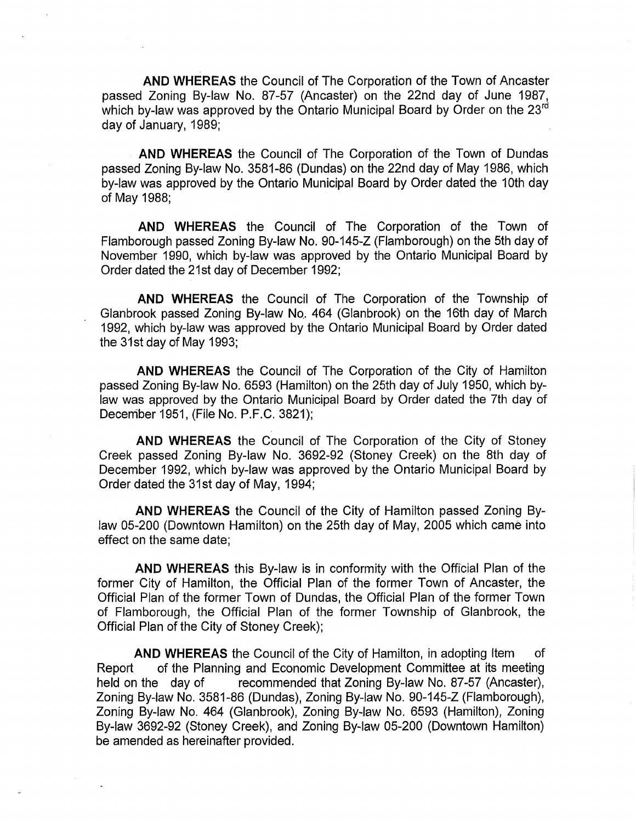AND WHEREAS the Council of The Corporation of the Town of Ancaster passed Zoning By-law No. 87-57 (Ancaster) on the 22nd day of June 1987, which by-law was approved by the Ontario Municipal Board by Order on the 23rd day of January, 1989;

AND WHEREAS the Council of The Corporation of the Town of Dundas passed Zoning By-law No. 3581-86 (Dundas) on the 22nd day of May 1986, which by-law was approved by the Ontario Municipal Board by Order dated the 10th day of May 1988;

AND WHEREAS the Council of The Corporation of the Town of Flamborough passed Zoning By-law No. 90-145-Z (Flamborough) on the 5th day of November 1990, which by-law was approved by the Ontario Municipal Board by Order dated the 21st day of December 1992;

AND WHEREAS the Council of The Corporation of the Township of Glanbrook passed Zoning By-law No. 464 (Glanbrook) on the 16th day of March 1992, which by-law was approved by the Ontario Municipal Board by Order dated the 31st day of May 1993;

AND WHEREAS the Council of The Corporation of the City of Hamilton passed Zoning By-law No. 6593 (Hamilton) on the 25th day of July 1950, which bylaw was approved by the Ontario Municipal Board by Order dated the 7th day of December 1951, (File No. P.F.C. 3821);

AND WHEREAS the Council of The Corporation of the City of Stoney Creek passed Zoning By-law No. 3692-92 (Stoney Creek) on the 8th day of December 1992, which by-law was approved by the Ontario Municipal Board by Order dated the 31st day of May, 1994;

AND WHEREAS the Council of the City of Hamilton passed Zoning Bylaw 05-200 (Downtown Hamilton) on the 25th day of May, 2005 which came into effect on the same date;

AND WHEREAS this By-law is in conformity with the Official Plan of the former City of Hamilton, the Official Plan of the former Town of Ancaster, the Official Plan of the former Town of Dundas, the Official Plan of the former Town of Flamborough, the Official Plan of the former Township of Glanbrook, the Official Plan of the City of Stoney Creek);

AND WHEREAS the Council of the City of Hamilton, in adopting Item of Report of the Planning and Economic Development Committee at its meeting held on the day of recommended that Zoning By-law No. 87-57 (Ancaster), Zoning By-law No. 358t-86 (Dundas), Zoning By-law No. 90-145-Z (Flamborough), Zoning By-law No. 464 (Glanbrook), Zoning By-law No. 6593 (Hamilton), Zoning By-law 3692-92 (Stoney Creek), and Zoning By-law 05-200 (Downtown Hamilton) be amended as hereinafter provided.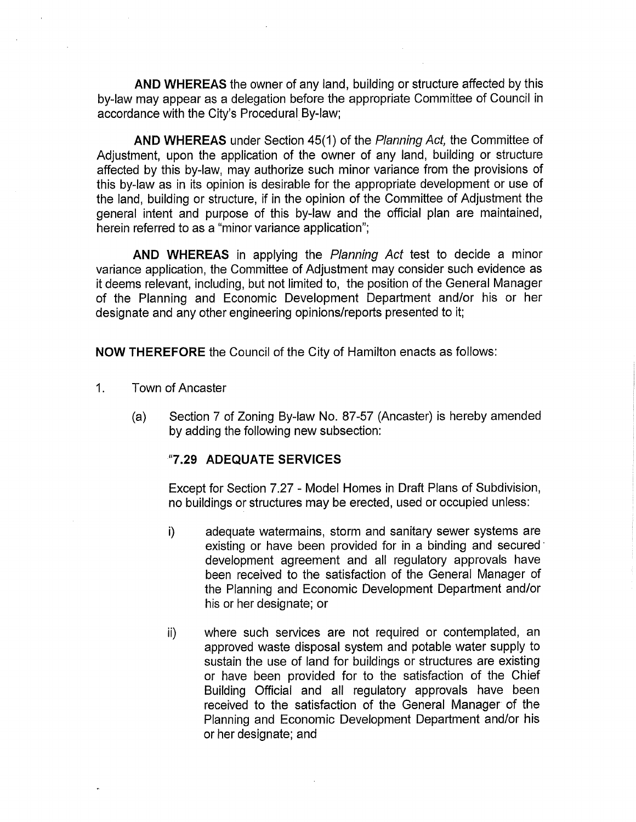AND WHEREAS the owner of any land, building or structure affected by this by-law may appear as a delegation before the appropriate Committee of Council in accordance with the City's Procedura! By-law;

AND WHEREAS under Section 45(1) of the Planning Act, the Committee of Adjustment, upon the application of the owner of any land, building or structure affected by this by-law, may authorize such minor variance from the provisions of this by-law as in its opinion is desirable for the appropriate development or use of the land, building or structure, if in the opinion of the Committee of Adjustment the general intent and purpose of this by-law and the official plan are maintained, herein referred to as a "minor variance application";

AND WHEREAS in applying the *Planning Act* test to decide a minor variance application, the Committee of Adjustment may consider such evidence as it deems relevant, including, but not limited to, the position of the General Manager of the Planning and Economic Development Department and/or his or her designate and any other engineering opinions/reports presented to it;

NOW THEREFORE the Council of the City of Hamilton enacts as follows:

- . Town of Ancaster
	- (a) Section 7 of Zoning By-law No. 87-57 (Ancaster) is hereby amended by adding the following new subsection:

## "7.29 ADEQUATE SERVICES

Except for Section 7.27 - Model Homes in Draft Plans of Subdivision, no buildings or structures may be erected, used or occupied unless:

- i) adequate watermains, storm and sanitary sewer systems are existing or have been provided for in a binding and secured development agreement and all regulatory approvals have been received to the satisfaction of the General Manager of the Planning and Economic Development Department and/or his or her designate; or
- ii) where such services are not required or contemplated, an approved waste disposal system and potable water supply to sustain the use of land for buildings or structures are existing or have been provided for to the satisfaction of the Chief Building Official and all regulatory approvals have been received to the satisfaction of the General Manager of the Planning and Economic Development Department and/or his or her designate; and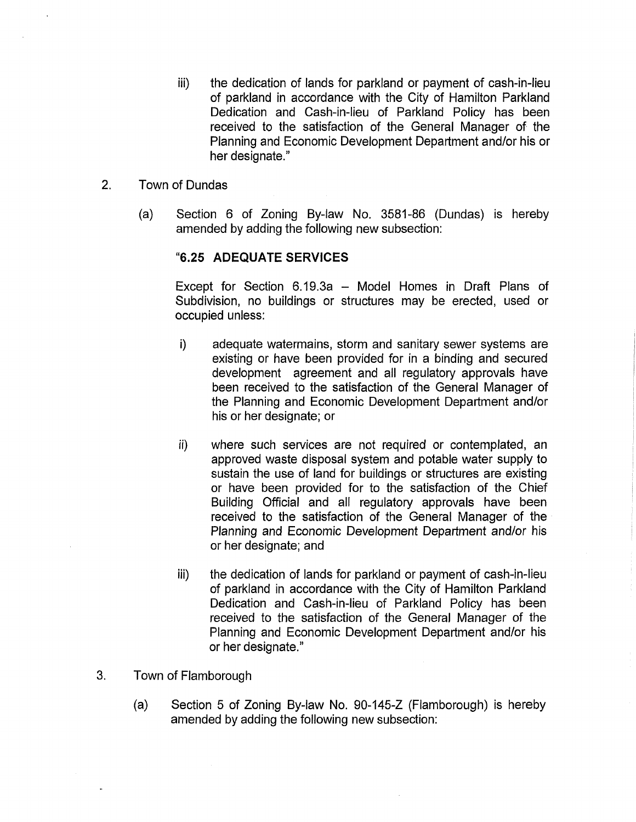- iii) the dedication of lands for parkland or payment of cash-in-lieu of parkland in accordance with the City of Hamilton Parkland Dedication and Cash-in-lieu of Parkland Policy has been received to the satisfaction of the General Manager of the Planning and Economic Development Department and/or his or her designate."
- 2. Town of Dundas
	- (a) Section 6 of Zoning By-law No. 3581-86 (Dundas) is hereby amended by adding the following new subsection:

## "6.25 ADEQUATE SERVICES

Except for Section 6.19.3a - Model Homes in Draft Plans of Subdivision, no buildings or structures may be erected, used or occupied unless:

- i) adequate watermains, storm and sanitary sewer systems are existing or have been provided for in a binding and secured development agreement and all regulatory approvals have been received to the satisfaction of the General Manager of the Planning and Economic Development Department and/or his or her designate; or
- ii) where such services are not required or contemplated, an approved waste disposal system and potable water supply to sustain the use of land for buildings or structures are existing or have been provided for to the satisfaction of the Chief Building Official and all regulatory approvals have been received to the satisfaction of the General Manager of the Planning and Economic Development Department and/or his or her designate; and
- iii) the dedication of lands for parkland or payment of cash-in-lieu of parkland in accordance with the City of Hamilton Parkland Dedication and Cash-in-lieu of Parkland Policy has been received to the satisfaction of the General Manager of the Planning and Economic Development Department and/or his or her designate."
- 3. Town of Flamborough
	- (a) Section 5 of Zoning By-law No. 90-145-Z (Flamborough) is hereby amended by adding the following new subsection: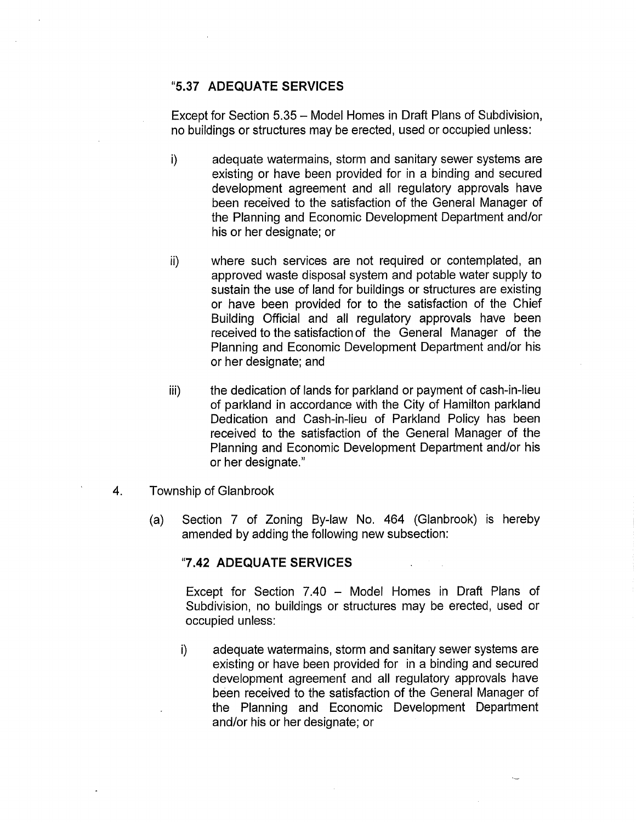## "5.37 ADEQUATE SERVICES

Except for Section 5.35 – Model Homes in Draft Plans of Subdivision, no buildings or structures may be erected, used or occupied unless:

- i) adequate watermains, storm and sanitary sewer systems are existing or have been provided for in a binding and secured development agreement and all regulatory approvals have been received to the satisfaction of the General Manager of the Planning and Economic Development Department and/or his or her designate; or
- ii) where such services are not required or contemplated, an approved waste disposal system and potable water supply to sustain the use of land for buildings or structures are existing or have been provided for to the satisfaction of the Chief Building Official and all regulatory approvals have been received to the satisfaction of the General Manager of the Planning and Economic Development Department and/or his or her designate; and
- iii) the dedication of lands for parkland or payment of cash-in-lieu of parkland in accordance with the City of Hamilton parkland Dedication and Cash-in-lieu of Parkland Policy has been received to the satisfaction of the General Manager of the Planning and Economic Development Department and/or his or her designate."
- 4. Township of Glanbrook
	- (a) Section 7 of Zoning By-law No. 464 (Glanbrook) is hereby amended by adding the following new subsection:

### "7.42 ADEQUATE SERVICES

Except for Section 7.40 - Model Homes in Draft Plans of Subdivision, no buildings or structures may be erected, used or occupied unless:

i) adequate watermains, storm and sanitary sewer systems are existing or have been provided for in a binding and secured development agreement and all regulatory approvals have been received to the satisfaction of the General Manager of the Planning and Economic Development Department and/or his or her designate; or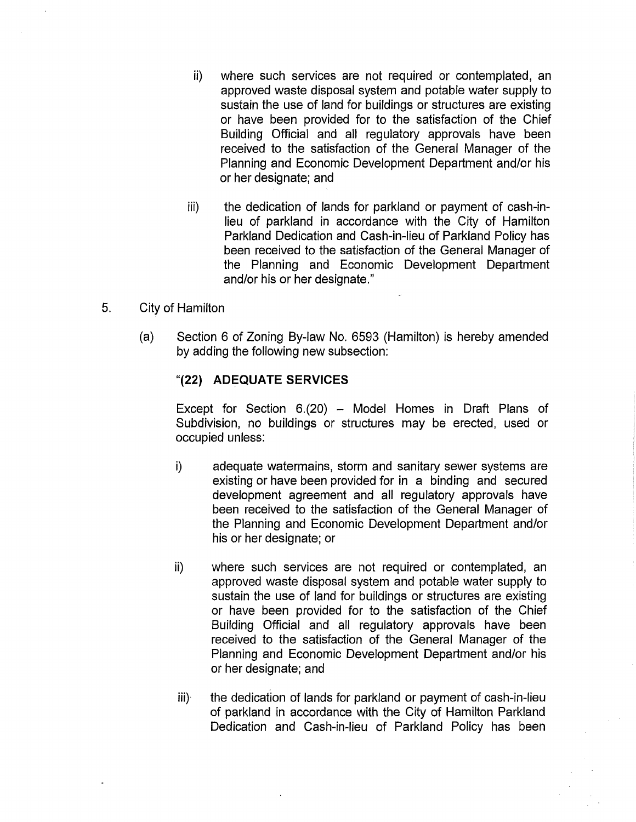- ii) where such services are not required or contemplated, an approved waste disposal system and potable water supply to sustain the use of land for buildings or structures are existing or have been provided for to the satisfaction of the Chief Building Official and all regulatory approvals have been received to the satisfaction of the General Manager of the Planning and Economic Development Department and/or his or her designate; and
- iii) the dedication of lands for parkland or payment of cash-inlieu of parkland in accordance with the City of Hamilton Parkland Dedication and Cash-in-lieu of Parkland Policy has been received to the satisfaction of the General Manager of the Planning and Economic Development Department and/or his or her designate."
- 5. City of Hamilton
	- (a) Section 6 of Zoning By-law No. 6593 (Hamilton) is hereby amended by adding the following new subsection:

## "(22) ADEQUATE SERVICES

Except for Section  $6.(20)$  – Model Homes in Draft Plans of Subdivision, no buildings or structures may be erected, used or occupied unless:

- i) adequate watermains, storm and sanitary sewer systems are existing or have been provided for in a binding and secured development agreement and all regulatory approvals have been received to the satisfaction of the General Manager of the Planning and Economic Development Department and/or his or her designate; or
- ii) where such services are not required or contemplated, an approved waste disposal system and potable water supply to sustain the use of land for buildings or structures are existing or have been provided for to the satisfaction of the Chief Building Official and all regulatory approvals have been received to the satisfaction of the General Manager of the Planning and Economic Development Department and/or his or her designate; and
- iii) the dedication of lands for parkland or payment of cash-in-lieu of parkland in accordance with the City of Hamilton Parkland Dedication and Cash-in-lieu of Parkland Policy has been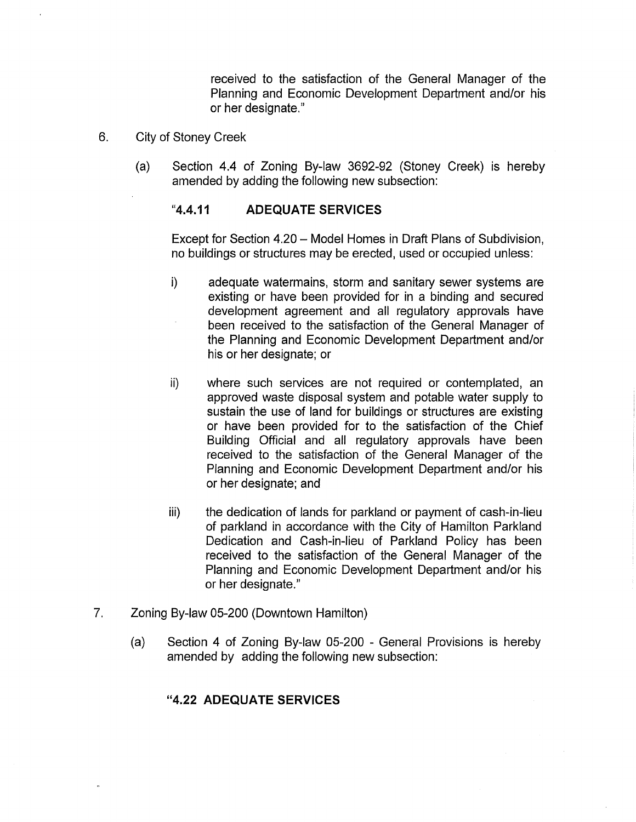received to the satisfaction of the General Manager of the Planning and Economic Development Department and/or his or her designate."

- 6. City of Stoney Creek
	- (a) Section 4.4 of Zoning By-law 3692-92 (Stoney Creek) is hereby amended by adding the following new subsection:

## "4.4.11 ADEQUATE SERVICES

Except for Section 4.20 – Model Homes in Draft Plans of Subdivision, no buildings or structures may be erected, used or occupied unless:

- j) adequate watermains, storm and sanitary sewer systems are existing or have been provided for in a binding and secured development agreement and all regulatory approvals have been received to the satisfaction of the General Manager of the Planning and Economic Development Department and/or his or her designate; or
- ii) where such services are not required or contemplated, an approved waste disposal system and potable water supply to sustain the use of land for buildings or structures are existing or have been provided for to the satisfaction of the Chief Building Official and all regulatory approvals have been received to the satisfaction of the General Manager of the Planning and Economic Development Department and/or his or her designate; and
- iii) the dedication of lands for parkland or payment of cash-in-lieu of parkland in accordance with the City of Hamilton Parkland Dedication and Cash-in-lieu of Parkland Policy has been received to the satisfaction of the General Manager of the Planning and Economic Development Department and/or his or her designate."
- 7. Zoning By-law 05-200 (Downtown Hamilton)
	- (a) Section 4 of Zoning By-law 05-200 General Provisions is hereby amended by adding the following new subsection:

## "4.22 ADEQUATE SERVICES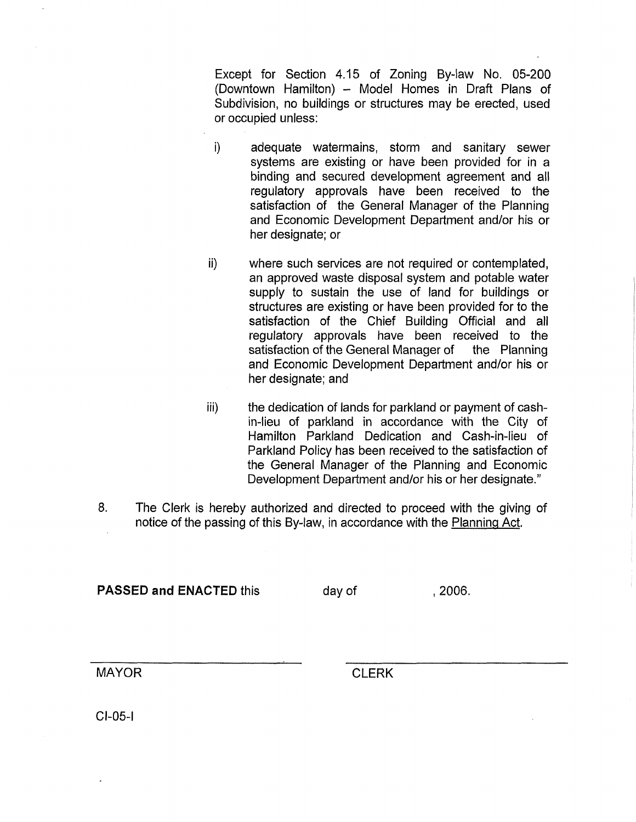Except for Section 4.15 of Zoning By-law No. 05-200 (Downtown Hamilton)- Model Homes in Draft Plans of Subdivision, no buildings or structures may be erected, used or occupied unless:

- i) adequate watermains, storm and sanitary sewer systems are existing or have been provided for in a binding and secured development agreement and all regulatory approvals have been received to the satisfaction of the General Manager of the Planning and Economic Development Department and/or his or her designate; or
- ii) where such services are not required or contemplated, an approved waste disposal system and potable water supply to sustain the use of land for buildings or structures are existing or have been provided for to the satisfaction of the Chief Building Official and all regulatory approvals have been received to the satisfaction of the General Manager of the Planning and Economic Development Department and/or his or her designate; and
- iii) the dedication of lands for parkland or payment of cashin-lieu of parkland in accordance with the City of Hamilton Parkland Dedication and Cash-in-lieu of Parkland Policy has been received to the satisfaction of the General Manager of the Planning and Economic Development Department and/or his or her designate."
- . The Clerk is hereby authorized and directed to proceed with the giving of notice of the passing of this By-law, in accordance with the Planning Act.

PASSED and ENACTED this day of the case of the 2006.

MAYOR CLERK

CI-05-1